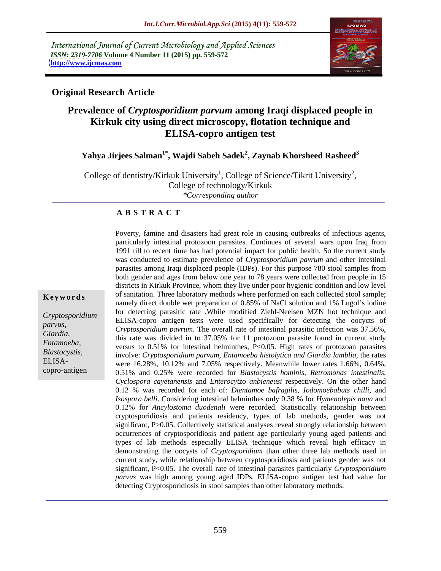International Journal of Current Microbiology and Applied Sciences *ISSN: 2319-7706* **Volume 4 Number 11 (2015) pp. 559-572 <http://www.ijcmas.com>**



# **Original Research Article**

# **Prevalence of** *Cryptosporidium parvum* **among Iraqi displaced people in Kirkuk city using direct microscopy, flotation technique and ELISA-copro antigen test**

# **Yahya Jirjees Salman1\* , Wajdi Sabeh Sadek<sup>2</sup> , Zaynab Khorsheed Rasheed3**

College of dentistry/Kirkuk University<sup>1</sup>, College of Science/Tikrit University<sup>2</sup>, , College of technology/Kirkuk *\*Corresponding author*

### **A B S T R A C T**

copro-antigen

Poverty, famine and disasters had great role in causing outbreaks of infectious agents, particularly intestinal protozoon parasites. Continues of several wars upon Iraq from 1991 till to recent time has had potential impact for public health. So the current study was conducted to estimate prevalence of *Cryptosporidium pavrum* and other intestinal parasites among Iraqi displaced people (IDPs). For this purpose 780 stool samples from both gender and ages from below one year to 78 years were collected from people in 15 districts in Kirkuk Province, whom they live under poor hygienic condition and low level **Keywords** of sanitation. Three laboratory methods where performed on each collected stool sample; namely direct double wet preparation of 0.85% of NaCl solution and 1% Lugol's iodine for detecting parasitic rate .While modified Ziehl-Neelsen MZN hot technique and ELISA-copro antigen tests were used specifically for detecting the oocycts of *Cryptosporidium*  parvus,<br>*Cryptosporidium pavrum*. The overall rate of intestinal parasitic infection was 37.56%, Giardia,<br>this rate was divided in to 37.05% for 11 protozoon parasite found in current study Entamoeba,<br>
versus to 0.51% for intestinal helminthes, P<0.05. High rates of protozoan parasites involve: *Cryptosporidium parvum, Entamoeba histolytica and Giardia lamblia*, the rates *Blastocystis,* ELISA-<br>were 16.28%, 10.12% and 7.05% respectively. Meanwhile lower rates 1.66%, 0.64%, 0.51% and 0.25% were recorded for *Blastocystis hominis, Retromonas intestinalis, Cyclospora cayetanensis* and *Enterocytzo anbieneusi* respectively. On the other hand 0.12 % was recorded for each of: *Dientamoe bafragilis, Iodomoebabuts chilli*, and *Isospora belli*. Considering intestinal helminthes only 0.38 % for *Hymenolepis nana* and 0.12% for *Ancylostoma duodenali* were recorded. Statistically relationship between cryptosporidiosis and patients residency, types of lab methods, gender was not significant, P>0.05. Collectively statistical analyses reveal strongly relationship between occurrences of cryptosporidiosis and patient age particularly young aged patients and types of lab methods especially ELISA technique which reveal high efficacy in demonstrating the oocysts of *Cryptosporidium* than other three lab methods used in current study, while relationship between cryptosporidiosis and patients gender was not significant, P<0.05. The overall rate of intestinal parasites particularly *Cryptosporidium parvus* was high among young aged IDPs. ELISA-copro antigen test had value for detecting Cryptosporidiosis in stool samples than other laboratory methods.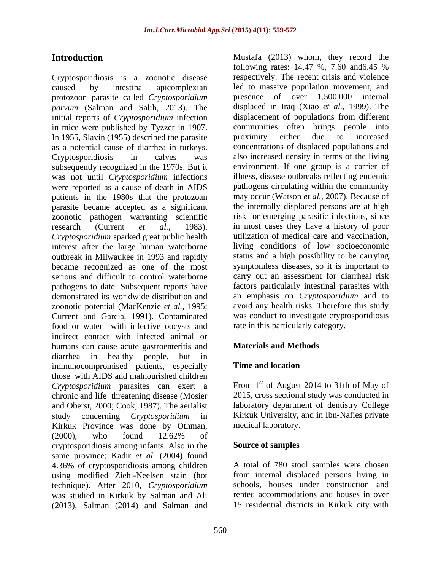Cryptosporidiosis is a zoonotic disease caused by intestina apicomplexian led to massive population movement, and protozoon parasite called *Cryptosporidium parvum* (Salman and Salih, 2013). The displaced in Iraq (Xiao *et al.,* 1999). The initial reports of *Cryptosporidium* infection in mice were published by Tyzzer in 1907. communities often brin<br>In 1955 Slavin (1955) described the parasite proximity either due In 1955, Slavin (1955) described the parasite proximity either due to increased as a potential cause of diarrhea in turkeys. concentrations of displaced populations and Cryptosporidiosis in calves was also increased density in terms of the living subsequently recognized in the 1970s. But it was not until *Cryptosporidium* infections were reported as a cause of death in AIDS patients in the 1980s that the protozoan may occur (Watson *et al.,* 2007). Because of parasite became accepted as a significant zoonotic pathogen warranting scientific research (Current *et al.*, 1983). in most cases they have a history of poor *Cryptosporidium* sparked great public health interest after the large human waterborne outbreak in Milwaukee in 1993 and rapidly became recognized as one of the most serious and difficult to control waterborne pathogens to date. Subsequent reports have demonstrated its worldwide distribution and zoonotic potential (MacKenzie *et al.,* 1995; Current and Garcia, 1991). Contaminated food or water with infective oocysts and indirect contact with infected animal or humans can cause acute gastroenteritis and diarrhea in healthy people, but in immunocompromised patients, especially **Time and location** those with AIDS and malnourished children *Cryptosporidium* parasites can exert a chronic and life threatening disease (Mosier and Oberst, 2000; Cook, 1987). The aerialist study concerning *Cryptosporidium* in Kirkuk Province was done by Othman, (2000), who found 12.62% of cryptosporidiosis among infants. Also in the same province; Kadir *et al.* (2004) found 4.36% of cryptosporidiosis among children using modified Ziehl-Neelsen stain (hot technique). After 2010, *Cryptosporidium* was studied in Kirkuk by Salman and Ali (2013), Salman (2014) and Salman and

**Introduction** Mustafa (2013) whom, they record the following rates: 14.47 %, 7.60 and6.45 % respectively. The recent crisis and violence presence of over  $1,500,000$ displacement of populations from different communities often brings people into proximity either due to increased environment. If one group is a carrier of illness, disease outbreaks reflecting endemic pathogens circulating within the community the internally displaced persons are at high risk for emerging parasitic infections, since utilization of medical care and vaccination, living conditions of low socioeconomic status and a high possibility to be carrying symptomless diseases, so it is important to carry out an assessment for diarrheal risk factors particularly intestinal parasites with an emphasis on *Cryptosporidium* and to avoid any health risks. Therefore this study was conduct to investigate cryptosporidiosis rate in this particularly category.

## **Materials and Methods**

## **Time and location**

From 1<sup>st</sup> of August 2014 to 31th of May of 2015, cross sectional study was conducted in laboratory department of dentistry College Kirkuk University, and in Ibn-Nafies private medical laboratory.

### **Source of samples**

A total of 780 stool samples were chosen from internal displaced persons living in schools, houses under construction and rented accommodations and houses in over 15 residential districts in Kirkuk city with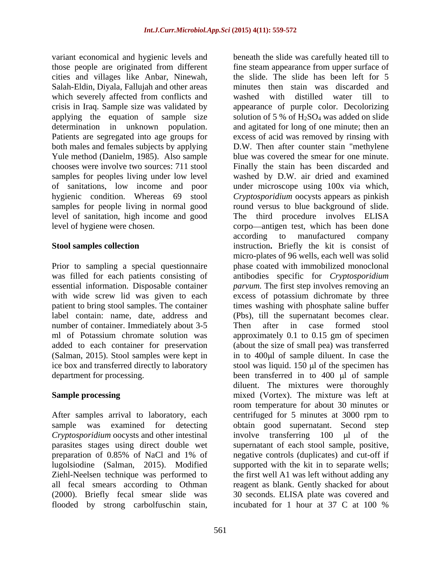variant economical and hygienic levels and beneath the slide was carefully heated till to those people are originated from different fine steam appearance from upper surface of cities and villages like Anbar, Ninewah, Salah-Eldin, Diyala, Fallujah and other areas which severely affected from conflicts and washed with distilled water till to crisis in Iraq. Sample size was validated by appearance of purple color. Decolorizing applying the equation of sample size solution of 5 % of  $H_2SO_4$  was added on slide determination in unknown population. and agitated for long of one minute; then an Patients are segregated into age groups for excess of acid was removed by rinsing with both males and females subjects by applying Yule method (Danielm, 1985). Also sample chooses were involve two sources: 711 stool Finally the stain has been discarded and samples for peoples living under low level washed by D.W. air dried and examined of sanitations, low income and poor under microscope using 100x via which, hygienic condition. Whereas 69 stool *Cryptosporidium* oocysts appears as pinkish samples for people living in normal good round versus to blue background of slide. level of sanitation, high income and good The third procedure involves ELISA

Prior to sampling a special questionnaire phase coated with immobilized monoclonal was filled for each patients consisting of essential information. Disposable container *parvum.* The first step involves removing an with wide screw lid was given to each excess of potassium dichromate by three patient to bring stool samples. The container label contain: name, date, address and (Pbs), till the supernatant becomes clear. number of container. Immediately about 3-5 Then after in case formed stool ml of Potassium chromate solution was approximately 0.1 to 0.15 gm of specimen added to each container for preservation (about the size of small pea) wastransferred (Salman, 2015). Stool samples were kept in in to 400 µl of sample diluent. In case the ice box and transferred directly to laboratory stool was liquid. 150 µl of the specimen has

*Cryptosporidium* oocysts and other intestinal involve transferring 100 ul of the (2000). Briefly fecal smear slide was flooded by strong carbolfuschin stain,

level of hygiene were chosen. The corpo antigen test, which has been done **Stool samples collection instruction.** Briefly the kit is consist of department for processing. been transferred in to 400 µl of sample **Sample processing** The mixed (Vortex). The mixture was left at After samples arrival to laboratory, each centrifuged for 5 minutes at 3000 rpm to sample was examined for detecting obtain good supernatant. Second step parasites stages using direct double wet supernatant of each stool sample, positive, preparation of 0.85% of NaCl and 1% of negative controls (duplicates) and cut-off if lugolsiodine (Salman, 2015). Modified supported with the kit in to separate wells; Ziehl-Neelsen technique was performed to the first well A1 was left without adding any all fecal smears according to Othman reagent as blank. Gently shacked for about the slide. The slide has been left for 5 minutes then stain was discarded and washed with distilled water till to D.W. Then after counter stain "methylene blue was covered the smear for one minute. according to manufactured company micro-plates of 96 wells, each well was solid antibodies specific for *Cryptosporidium*  times washing with phosphate saline buffer Then after in case formed stool diluent. The mixtures were thoroughly room temperature for about 30 minutes or involve transferring  $100 \text{ }\mu\text{l}$  of 30 seconds. ELISA platewas covered and incubated for 1 hour at 37 C at 100 %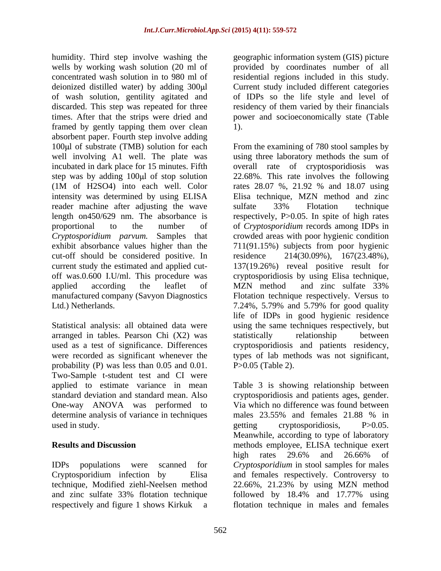humidity. Third step involve washing the geographic information system (GIS) picture wells by working wash solution (20 ml of provided by coordinates number of all concentrated wash solution in to 980 ml of residential regions included in this study. deionized distilled water) by adding  $300 \mu$  Current study included different categories of wash solution, gentility agitated and discarded. This step was repeated for three times. After that the strips were dried and power and socioeconomically state (Table framed by gently tapping them over clean 1). absorbent paper. Fourth step involve adding intensity was determined by using ELISA reader machine after adjusting the wave sulfate 33% Flotation technique length on450/629 nm. The absorbance is cut-off should be considered positive. In Ltd.) Netherlands. 2.24%, 5.79% and 5.79% for good quality

Statistical analysis: all obtained data were arranged in tables. Pearson Chi (X2) was probability (P) was less than 0.05 and 0.01. Two-Sample t-student test and CI were determine analysis of variance in techniques males 23.55% and females 21.88 % in used in study. Depending the setting cryptosportation is not provided by the setting cryptosportation is  $P > 0.05$ .

technique, Modified ziehl-Neelsen method respectively and figure 1 shows Kirkuk a flotation technique in males and females

of IDPs so the life style and level of residency of them varied by their financials 1).

100 $\mu$ l of substrate (TMB) solution for each From the examining of 780 stool samples by well involving A1 well. The plate was using three laboratory methods the sum of incubated in dark place for 15 minutes. Fifth overall rate of cryptosporidiosis was step was by adding 100µl of stop solution 22.68%. This rate involves the following (1M of H2SO4) into each well. Color rates 28.07 %, 21.92 % and 18.07 using proportional to the number of of *Cryptosporidium* records among IDPs in *Cryptosporidium parvum.* Samples that crowded areas with poor hygienic condition exhibit absorbance values higher than the 711(91.15%) subjects from poor hygienic current study the estimated and applied cut- 137(19.26%) reveal positive result for off was.0.600 I.U/ml. This procedure was cryptosporidiosis by using Elisa technique, applied according the leaflet of MZN method and zinc sulfate 33% manufactured company (Savyon Diagnostics Flotation technique respectively. Versus to used as a test of significance. Differences cryptosporidiosis and patients residency, were recorded as significant whenever the types of lab methods was not significant, Elisa technique, MZN method and zinc sulfate 33% Flotation technique respectively, P>0.05. In spite of high rates 214(30.09%), 167(23.48%), MZN method and zinc sulfate 33% 7.24%, 5.79% and 5.79% for good quality life of IDPs in good hygienic residence using the same techniques respectively, but statistically relationship between P>0.05 (Table 2).

applied to estimate variance in mean Table 3 is showing relationship between standard deviation and standard mean. Also cryptosporidiosis and patients ages, gender. One-way ANOVA was performed to Via which no difference was found between **Results and Discussion** methods employee, ELISA technique exert IDPs populations were scanned for *Cryptosporidium* in stool samples for males Cryptosporidium infection by Elisa and females respectively. Controversy to and zinc sulfate 33% flotation technique followed by 18.4% and 17.77% using males 23.55% and females 21.88 % in getting cryptosporidiosis, P>0.05. Meanwhile, according to type of laboratory high rates 29.6% and 26.66% of 22.66%, 21.23% by using MZN method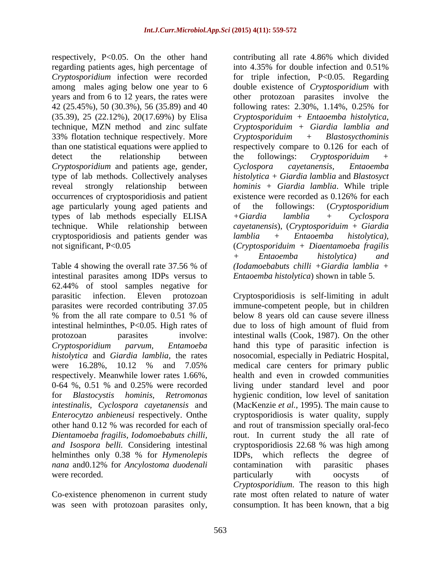respectively, P<0.05. On the other hand contributing all rate 4.86% which divided regarding patients ages, high percentage of into 4.35% for double infection and 0.51% 33% flotation technique respectively. More  $Cryptosporiduim + Blastosychominis$ than one statistical equations were applied to *Cryptosporidium* and patients age, gender, occurrences of cryptosporidiosis and patient existence were recorded as 0.126% for each age particularly young aged patients and of the followings: (Cryptosporidium types of lab methods especially ELISA  $+$  Giardia lamblia  $+$  Cyclospora cryptosporidiosis and patients gender was lamblia + Entaoemba histolytica),

intestinal parasites among IDPs versus to 62.44% of stool samples negative for intestinal helminthes, P<0.05. High rates of due to loss of high amount of fluid from *intestinalis, Cyclospora cayetanensis* and helminthes only 0.38 % for *Hymenolepis* IDPs, which reflects the degree of *nana* and0.12% for *Ancylostoma duodenali*

*Cryptosporidium* infection were recorded for triple infection, P<0.05. Regarding among males aging below one year to 6 double existence of *Cryptosporidium* with years and from 6 to 12 years, the rates were other protozoan parasites involve the 42 (25.45%), 50 (30.3%), 56 (35.89) and 40 following rates: 2.30%, 1.14%, 0.25% for (35.39), 25 (22.12%), 20(17.69%) by Elisa *Cryptosporiduim + Entaoemba histolytica*, technique, MZN method and zinc sulfate *Cryptosporiduim + Giardia lamblia and* detect the relationship between the followings: Cryptosporiduim + type of lab methods. Collectively analyses *histolytica + Giardia lamblia* and *Blastosyct* reveal strongly relationship between *hominis + Giardia lamblia*. While triple technique. While relationship between *cayetanensis*), (*Cryptosporiduim + Giardia*  not significant, P<0.05 (*Cryptosporiduim + Diaentamoeba fragilis*  Table 4 showing the overall rate 37.56 % of (Iodamoebabuts chilli +Giardia lamblia + into 4.35% for double infection and 0.51% *Cryptosporiduim + Blastosycthominis* respectively compare to 0.126 for each of the followings: *Cryptosporiduim + Cyclospora cayetanensis, Entaoemba* existence were recorded as 0.126% for each of the followings: (*Cryptosporidium +Giardia lamblia + Cyclospora lamblia + Entaoemba histolytica), + Entaoemba histolytica) and (Iodamoebabuts chilli +Giardia lamblia + Entaoemba histolytica*) shown in table 5.

parasitic infection. Eleven protozoan Cryptosporidiosis is self-limiting in adult parasites were recorded contributing 37.05 immune-competent people, but in children % from the all rate compare to 0.51 % of below 8 years old can cause severe illness protozoan parasites involve: intestinal walls (Cook, 1987). On the other *Cryptosporidium parvum, Entamoeba* hand this type of parasitic infection is *histolytica* and *Giardia lamblia,* the rates nosocomial, especially in Pediatric Hospital, were 16.28%, 10.12 % and 7.05% medical care centers for primary public respectively. Meanwhile lower rates 1.66%, health and even in crowded communities 0-64 %, 0.51 % and 0.25% were recorded living under standard level and poor for *Blastocystis hominis, Retromonas* hygienic condition, low level of sanitation *Enterocytzo anbieneusi* respectively. Onthe cryptosporidiosis is water quality, supply other hand 0.12 % was recorded for each of and rout of transmission specially oral-feco *Dientamoeba fragilis, Iodomoebabuts chilli,*  rout. In current study the all rate of *and Isospora belli.* Considering intestinal cryptosporidiosis 22.68 % was high among were recorded. The contract of the particularly with observation of the contract of Co-existence phenomenon in current study rate most often related to nature of water was seen with protozoan parasites only, consumption. It has been known, that a bigbelow 8 years old can cause severe illness due to loss of high amount of fluid from medical care centers for primary public (MacKenzie *et al.,* 1995). The main cause to IDPs, which reflects the degree contamination with parasitic phases particularly with oocysts of *Cryptosporidium*. The reason to this high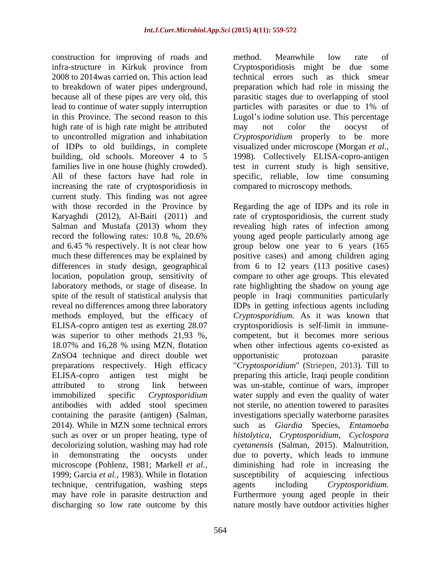construction for improving of roads and method. Meanwhile low rate of infra-structure in Kirkuk province from 2008 to 2014was carried on. This action lead technical errors such as thick smear to breakdown of water pipes underground, preparation which had role in missing the because all of these pipes are very old, this parasitic stages due to overlapping of stool lead to continue of water supply interruption particles with parasites or due to 1% of in this Province. The second reason to this Lugol's iodine solution use. This percentage high rate of is high rate might be attributed may not color the oocyst of to uncontrolled migration and inhabitation *Cryptosporidium* properly to be more of IDPs to old buildings, in complete visualized under microscope (Morgan *et al.,* building, old schools. Moreover 4 to 5 families live in one house (highly crowded). test in current study is high sensitive, All of these factors have had role in specific, reliable, low time consuming increasing the rate of cryptosporidiosis in current study. This finding was not agree methods employed, but the efficacy of ZnSO4 technique and direct double wet opportunistic protozoan parasite technique, centrifugation, washing steps agents including Cryptosporidium. may have role in parasite destruction and

method. Meanwhile low rate of  $C$ ryptosporidiosis might be may not color the oocyst of 1998). Collectively ELISA-copro-antigen compared to microscopy methods.

with those recorded in the Province by Regarding the age of IDPs and its role in Karyaghdi (2012), Al-Baiti (2011) and rate of cryptosporidiosis, the current study Salman and Mustafa (2013) whom they revealing high rates of infection among record the following rates: 10.8 %, 20.6% young aged people particularly among age and 6.45 % respectively. It is not clear how group below one year to 6 years (165 much these differences may be explained by positive cases) and among children aging differences in study design, geographical from 6 to 12 years (113 positive cases) location, population group, sensitivity of compare to other age groups. This elevated laboratory methods, or stage of disease. In Trate highlighting the shadow on young age spite of the result of statistical analysis that people in Iraqi communities particularly reveal no differences among three laboratory IDPs in getting infectious agents including ELISA-copro antigen test as exerting 28.07 cryptosporidiosis is self-limit in immune was superior to other methods 21,93 %, competent, but it becomes more serious 18.07% and 16,28 % using MZN, flotation when other infectious agents co-existed as preparations respectively. High efficacy "*Cryptosporidium*" (Striepen, 2013). Till to ELISA-copro antigen test might be preparing this article, Iraqi people condition attributed to strong link between was un-stable, continue of wars, improper immobilized specific *Cryptosporidium* water supply and even the quality of water antibodies with added stool specimen not sterile, no attention towered to parasites containing the parasite (antigen) (Salman, investigations specially waterborne parasites 2014). While in MZN some technical errors such as *Giardia* Species, *Entamoeba* such as over or un proper heating, type of *histolytica, Cryptosporidium, Cyclospora* decolorizing solution, washing may had role *cyetanensis* (Salman, 2015). Malnutrition, in demonstrating the oocysts under but due to poverty, which leads to immune microscope (Pohlenz, 1981; Markell *et al.,* diminishing had role in increasing the 1999; Garcia *et al.,* 1983). While in flotation susceptibility of acquiescing infectious discharging so low rate outcome by this nature mostly have outdoor activities higher*Cryptosporidium.* As it was known that opportunistic protozoan parasite investigations specially waterborne parasites such as *Giardia* Species*, Entamoeba* agents including *Cryptosporidium*. Furthermore young aged people in their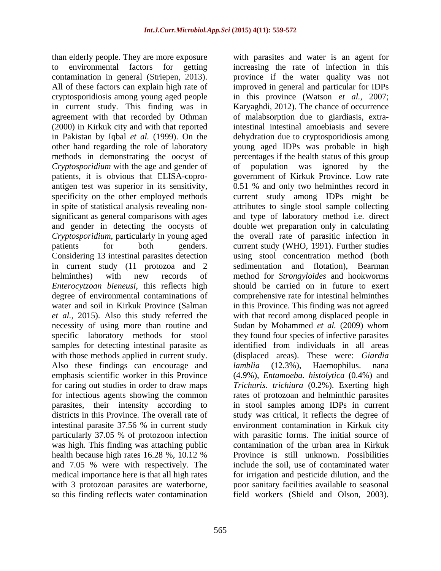than elderly people. They are more exposure in current study. This finding was in (2000) in Kirkuk city and with that reported *Cryptosporidium* with the age and gender of of population was ignored by the necessity of using more than routine and Sudan by Mohammed et al. (2009) whom with those methods applied in current study. Also these findings can encourage and *lamblia* (12.3%), Haemophilus. nana for infectious agents showing the common particularly 37.05 % of protozoon infection was high. This finding was attaching public and 7.05 % were with respectively. The so this finding reflects water contamination field workers (Shield and Olson, 2003).

to environmental factors for getting increasing the rate of infection in this contamination in general (Striepen, 2013). province if the water quality was not All of these factors can explain high rate of improved in general and particular for IDPs cryptosporidiosis among young aged people in this province (Watson *et al.,* 2007; agreement with that recorded by Othman of malabsorption due to giardiasis, extrain Pakistan by Iqbal *et al.* (1999). On the dehydration due to cryptosporidiosis among other hand regarding the role of laboratory young aged IDPs was probable in high methods in demonstrating the oocyst of percentages if the health status of this group patients, it is obvious that ELISA-copro- government of Kirkuk Province. Low rate antigen test was superior in its sensitivity, 0.51 % and only two helminthes record in specificity on the other employed methods current study among IDPs might be in spite of statistical analysis revealing non- attributes to single stool sample collecting significant as general comparisons with ages and type of laboratory method i.e. direct and gender in detecting the oocysts of double wet preparation only in calculating *Cryptosporidium*, particularly in young aged the overall rate of parasitic infection in patients for both genders. current study (WHO, 1991). Further studies Considering 13 intestinal parasites detection using stool concentration method (both in current study (11 protozoa and 2 sedimentation and flotation), Bearman helminthes) with new records of method for *Strongyloides* and hookworms *Enterocytzoan bieneusi*, this reflects high should be carried on in future to exert degree of environmental contaminations of comprehensive rate for intestinal helminthes water and soil in Kirkuk Province (Salman in this Province. This finding was not agreed *et al.,* 2015). Also this study referred the with that record among displaced people in specific laboratory methods for stool they found four species of infective parasites samples for detecting intestinal parasite as identified from individuals in all areas emphasis scientific worker in this Province (4.9%), *Entamoeba. histolytica* (0.4%) and for caring out studies in order to draw maps *Trichuris. trichiura* (0.2%). Exerting high parasites, their intensity according to in stool samples among IDPs in current districts in this Province. The overall rate of study was critical, it reflects the degree of intestinal parasite 37.56 % in current study health because high rates 16.28 %, 10.12 % medical importance here is that all high rates for irrigation and pesticide dilution, and the with 3 protozoan parasites are waterborne, poor sanitary facilities available to seasonal with parasites and water is an agent for Karyaghdi, 2012). The chance of occurrence intestinal intestinal amoebiasis and severe population was ignored by Sudan by Mohammed *et al.* (2009) whom (displaced areas). These were: *Giardia lamblia* (12.3%), Haemophilus. nana rates of protozoan and helminthic parasites environment contamination in Kirkuk city with parasitic forms. The initial source of contamination of the urban area in Kirkuk Province is still unknown. Possibilities include the soil, use of contaminated water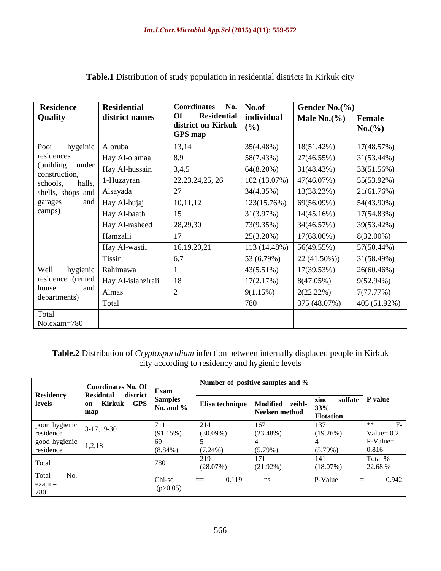| <b>Residence</b>                    | <b>Residential</b> | Coordinates No.   No.of                                                                         |              | Gender No. $(\%$ |                  |  |
|-------------------------------------|--------------------|-------------------------------------------------------------------------------------------------|--------------|------------------|------------------|--|
| Quality                             | district names     | <b>Residential</b><br>Of<br>$\frac{1}{2}$ district on Kirkuk $\Big  ( \frac{0}{2} )$<br>GPS map | individual   | Male $No.$ (%)   | Female<br>No.(%) |  |
| hygeinic<br>Poor                    | Aloruba            | 13,14                                                                                           | 35(4.48%)    | $18(51.42\%)$    | 17(48.57%)       |  |
| residences                          | Hay Al-olamaa      | 8,9                                                                                             | 58(7.43%)    | 27(46.55%)       | $31(53.44\%)$    |  |
| (building<br>under<br>construction, | Hay Al-hussain     | 3,4,5                                                                                           | 64(8.20%)    | 31(48.43%)       | 33(51.56%)       |  |
| halls,<br>schools,                  | 1-Huzayran         | 22, 23, 24, 25, 26                                                                              | 102 (13.07%) | 47(46.07%)       | 55(53.92%)       |  |
| shells, shops and Alsayada          |                    | 27                                                                                              | 34(4.35%)    | 13(38.23%)       | 21(61.76%)       |  |
| garages<br>and                      | Hay Al-hujaj       | 10, 11, 12                                                                                      | 123(15.76%)  | 69(56.09%)       | 54(43.90%)       |  |
| camps)                              | Hay Al-baath       | 15                                                                                              | 31(3.97%)    | 14(45.16%)       | 17(54.83%)       |  |
|                                     | Hay Al-rasheed     | 28,29,30                                                                                        | 73(9.35%)    | 34(46.57%)       | 39(53.42%)       |  |
|                                     | Hamzalii           |                                                                                                 | 25(3.20%)    | 17(68.00%)       | 8(32.00%)        |  |
|                                     | Hay Al-wastii      | 16, 19, 20, 21                                                                                  | 113 (14.48%) | 56(49.55%)       | 57(50.44%)       |  |
|                                     | Tissin             | 6,7                                                                                             | 53 (6.79%)   | $22(41.50\%)$    | 31(58.49%)       |  |
| Well<br>hygienic                    | Rahimawa           |                                                                                                 | 43(5.51%)    | 17(39.53%)       | 26(60.46%)       |  |
| residence (rented                   | Hay Al-islahziraii | 18                                                                                              | 17(2.17%)    | 8(47.05%)        | $9(52.94\%)$     |  |
| and<br>house                        | Almas              |                                                                                                 | 9(1.15%)     | 2(22.22%)        | 7(77.77%)        |  |
| departments)                        | Total              |                                                                                                 | 780          | 375 (48.07%)     | 405 (51.92%)     |  |
| Total<br>No.exam=780                |                    |                                                                                                 |              |                  |                  |  |

**Table.1** Distribution of study population in residential districts in Kirkuk city

# **Table.2** Distribution of *Cryptosporidium* infection between internally displaced people in Kirkuk city according to residency and hygienic levels

|                            | $\begin{array}{c c c} \hline \text{Coordinates No. Of} & \text{Exam} \\ \hline \end{array}$                  |            |                   | Number of positive samples and %                    |                                                      |                     |
|----------------------------|--------------------------------------------------------------------------------------------------------------|------------|-------------------|-----------------------------------------------------|------------------------------------------------------|---------------------|
| <b>Residency</b><br>levels | Residntal district<br>$\cos$   on Kirkuk GPS   $\frac{500 \text{ mJ}}{N_0 \text{ and } \%}$   Elisa technics |            |                   | Elisa technique   Modified zeihl-<br>Neelsen method | $\vert$ zinc sulfate   P value<br>$33\%$<br>Totation |                     |
| poor hygienic<br>residence | $3-17,19-30$                                                                                                 | (91.15%)   | $(30.09\%)$       | (23.48%)                                            | (19.26%)                                             | Value= $0.2$        |
| good hygienic<br>residence | 1, 2, 10                                                                                                     | $(8.84\%)$ | $(7.24\%)$        | $(5.79\%)$                                          | $(5.79\%)$                                           | P-Value=<br>0.816   |
|                            |                                                                                                              |            | $(28.07\%)$       | $(21.92\%)$                                         | $(18.07\%)$                                          | 1 otal %<br>22.68 % |
| Fotal<br>NO.<br>$exam =$   |                                                                                                              | Chi-sa -   | 0.119<br>$\equiv$ | ns.                                                 | P-Value                                              | 0.942               |
|                            |                                                                                                              |            |                   |                                                     |                                                      |                     |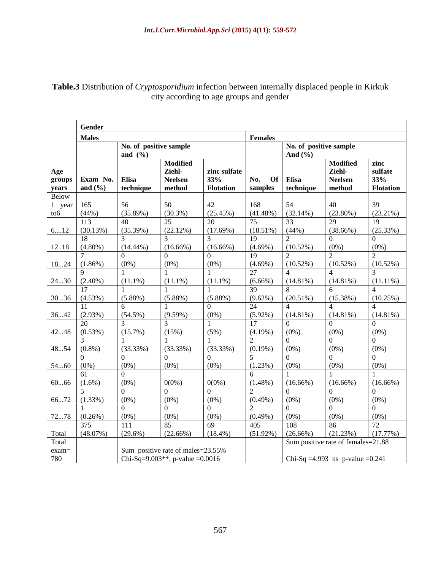|                          | Gender            |             |                                               |                     |                    |                                                                                             |                                    |                 |
|--------------------------|-------------------|-------------|-----------------------------------------------|---------------------|--------------------|---------------------------------------------------------------------------------------------|------------------------------------|-----------------|
|                          | <b>Males</b>      |             |                                               |                     | Females            |                                                                                             |                                    |                 |
|                          |                   |             | No. of positive sample                        |                     |                    |                                                                                             | No. of positive sample             |                 |
|                          |                   | and $(\% )$ |                                               |                     |                    | And $(\% )$                                                                                 |                                    |                 |
|                          |                   |             | <b>Modified</b>                               |                     |                    |                                                                                             | Modified                           | zinc<br>sulfate |
| Age                      | Exam No. Elisa    |             | Ziehl-<br>Neelsen                             | zinc sulfate<br>33% | No.                |                                                                                             | Ziehl-<br><b>Neelsen</b>           | 33%             |
| groups<br>years<br>Below | and $(\% )$       | technique   | method                                        | <b>Flotation</b>    | samples            | $\begin{array}{c c} \textbf{Of} & \textbf{Elisa} \ \hline \textbf{technique} & \end{array}$ | method                             | Flotation       |
|                          |                   |             |                                               |                     |                    |                                                                                             |                                    |                 |
| year                     | 165               | 56          | -50                                           | 42                  | 168                |                                                                                             | 40                                 |                 |
| to6                      | $(44\%)$          | (35.89%)    | $(30.3\%)$                                    | (25.45%)            | $(41.48\%)$        | (32.14%)                                                                                    | $(23.80\%)$                        | $(23.21\%)$     |
|                          | 113               | 40          |                                               | 20                  |                    |                                                                                             | 29                                 | 19              |
| 612                      | (30.13%)          | (35.39%)    | (22.12%)                                      | (17.69%)            | $(18.51\%) (44\%)$ |                                                                                             | $(38.66\%)$                        | (25.33%)        |
|                          |                   |             |                                               |                     | 19                 |                                                                                             | $\Omega$                           |                 |
|                          | $1218$ (4.80%)    | $(14.44\%)$ | $(16.66\%)$                                   | $(16.66\%)$         | $(4.69\%)$         | $(10.52\%)$                                                                                 | $(0\%)$                            | $(0\%)$         |
|                          |                   |             |                                               |                     | 19                 |                                                                                             |                                    |                 |
|                          | $1824$ (1.86%)    | $(0\%)$     | $(0\%)$                                       | $(0\%)$             | $(4.69\%)$         | $(10.52\%)$                                                                                 | (10.52%)                           | (10.52%)        |
|                          |                   | $(11.1\%)$  |                                               |                     | 27<br>$(6.66\%)$   |                                                                                             |                                    |                 |
|                          | $2430$ $(2.40\%)$ |             | $(11.1\%)$                                    | $(11.1\%)$          | 39                 | $(14.81\%)$                                                                                 | $(14.81\%)$                        | $(11.11\%)$     |
|                          | $3036$ (4.53%)    | $(5.88\%)$  | $(5.88\%)$                                    | $(5.88\%)$          | $(9.62\%)$         | $(20.51\%)$                                                                                 | (15.38%)                           | (10.25%)        |
|                          | -11-              |             |                                               |                     | 24                 |                                                                                             |                                    |                 |
|                          | $3642$ (2.93%)    | $(54.5\%)$  | $(9.59\%)$                                    | $(0\%)$             | $(5.92\%)$         | $(14.81\%)$                                                                                 | $(14.81\%)$                        | $(14.81\%)$     |
|                          |                   |             |                                               |                     | 17                 |                                                                                             | $\cap$                             |                 |
|                          | $4248$ $(0.53\%)$ | $(15.7\%)$  | (15%)                                         | $(5\%)$             | $(4.19\%)$         | $(0\%)$                                                                                     | $(0\%)$                            | $(0\%)$         |
|                          |                   |             |                                               |                     |                    |                                                                                             | $\Omega$                           |                 |
|                          | $4854$ (0.8%)     | $(33.33\%)$ | (33.33%)                                      | (33.33%)            | $(0.19\%)$         | $(0\%)$                                                                                     | $(0\%)$                            | $(0\%)$         |
|                          |                   |             | IΛ                                            |                     |                    |                                                                                             | $\overline{0}$                     |                 |
| $5460$ (0%)              |                   | $(0\%)$     | $(0\%)$                                       | $(0\%)$             | $(1.23\%)$         | $(0\%)$                                                                                     | $(0\%)$                            | $(0\%)$         |
|                          |                   |             |                                               |                     |                    |                                                                                             |                                    |                 |
|                          | $6066$ $(1.6\%)$  | $(0\%)$     | $0(0\%)$<br>$\cap$                            | $0(0\%)$            | $(1.48\%)$         | $(16.66\%)$                                                                                 | $(16.66\%)$<br>$\cap$              | $(16.66\%)$     |
|                          | $6672$ $(1.33\%)$ | $(0\%)$     | $(0\%)$                                       | $(0\%)$             | $(0.49\%)$         | $(0\%)$                                                                                     | $(0\%)$                            | $(0\%)$         |
|                          |                   |             | LΩ                                            | $\Omega$            |                    |                                                                                             | $\overline{0}$                     | $\cap$          |
|                          | $7278$ $(0.26\%)$ | $(0\%)$     | $(0\%)$                                       | $(0\%)$             | $(0.49\%)$         | $(0\%)$                                                                                     | $(0\%)$                            | $(0\%)$         |
|                          |                   | 111         | 85                                            | 69                  | 405                | 108                                                                                         | 86                                 | 72              |
| Total                    | $(48.07\%)$       | $(29.6\%)$  | $(22.66\%)$                                   | $(18.4\%)$          | $(51.92\%)$        | (26.66%)                                                                                    | (21.23%)                           | (17.77%)        |
| Total                    |                   |             |                                               |                     |                    |                                                                                             | Sum positive rate of females=21.88 |                 |
| exam=                    |                   |             | Sum positive rate of males=23.55%             |                     |                    |                                                                                             |                                    |                 |
| 780                      |                   |             | Chi-Sq=9.003 <sup>**</sup> , p-value = 0.0016 |                     |                    |                                                                                             | Chi-Sq =4.993 ns p-value =0.241    |                 |

**Table.3** Distribution of *Cryptosporidium* infection between internally displaced people in Kirkuk city according to age groups and gender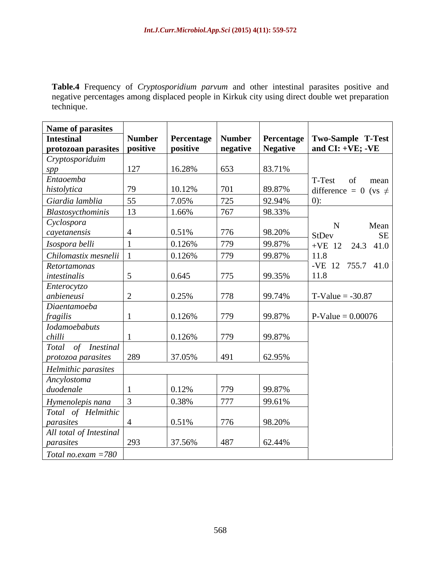**Table.4** Frequency of *Cryptosporidium parvum* and other intestinal parasites positive and negative percentages among displaced people in Kirkuk city using direct double wet preparation technique.

| <b>Name of parasites</b>         |               |          |               |                     |                                                      |
|----------------------------------|---------------|----------|---------------|---------------------|------------------------------------------------------|
| Intestinal                       | <b>Number</b> |          |               |                     | Percentage   Number   Percentage   Two-Sample T-Test |
| protozoan parasites positive     |               | positive |               | negative   Negative | and CI: +VE; -VE                                     |
| Cryptosporiduim                  |               |          |               |                     |                                                      |
| spp                              | 127           | 16.28%   | 653           | 83.71%              |                                                      |
| Entaoemba                        |               |          |               |                     | T-Test<br>of mean                                    |
| histolytica                      | 79            | 10.12%   | 701           | 89.87%              | difference = 0 (vs $\neq$                            |
| Giardia lamblia                  | 55            | 7.05%    | 725           | 92.94%              | $(0)$ :                                              |
| Blastosycthominis                | $\vert$ 13    | 1.66%    | 767           | 98.33%              |                                                      |
| Cyclospora                       |               |          |               |                     | Mean                                                 |
| cayetanensis                     |               | 0.51%    | 776           | 98.20%              | <b>SE</b><br>StDev                                   |
| Isospora belli                   |               | 0.126%   | 779           | 99.87%              | $+VE$ 12 24.3 41.0                                   |
| Chilomastix mesnelii             |               | 0.126%   | 779           | 99.87%              | 11.8                                                 |
| Retortamonas                     |               |          |               |                     | -VE 12 755.7 41.0                                    |
| intestinalis                     |               | 0.645    | 775           | 99.35%              | 11.8                                                 |
| Enterocytzo                      |               |          |               |                     |                                                      |
| anbieneusi                       |               | 0.25%    | 778           | 99.74%              | $T-Value = -30.87$                                   |
| Diaentamoeba                     |               |          |               |                     |                                                      |
| <i>fragilis</i><br>Iodamoebabuts |               | 0.126%   | 779           | 99.87%              | $P-Value = 0.00076$                                  |
|                                  |               |          |               |                     |                                                      |
| chilli<br>Total of Inestinal     |               | 0.126%   | 779           | 99.87%              |                                                      |
|                                  | 289           | 37.05%   | $ 491\rangle$ | 62.95%              |                                                      |
| protozoa parasites               |               |          |               |                     |                                                      |
| Helmithic parasites              |               |          |               |                     |                                                      |
| Ancylostoma<br>duodenale         |               | 0.12%    | 779           | 99.87%              |                                                      |
|                                  |               |          |               |                     |                                                      |
| Hymenolepis nana                 |               | 0.38%    | 777           | 99.61%              |                                                      |
| Total of Helmithic               |               |          |               |                     |                                                      |
| parasites                        |               | 0.51%    | 776           | 98.20%              |                                                      |
| All total of Intestinal          | 293           | 37.56%   | 487           | 62.44%              |                                                      |
| parasites                        |               |          |               |                     |                                                      |
| $Total no exam = 780$            |               |          |               |                     |                                                      |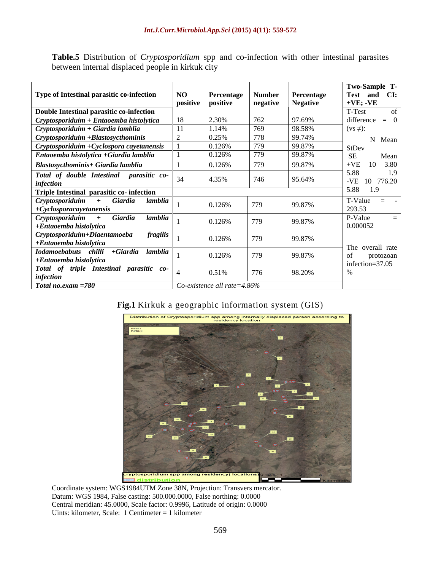**Table.5** Distribution of *Cryptosporidium* spp and co-infection with other intestinal parasites between internal displaced people in kirkuk city

|                                                          |    |                                 |               |                 | Two-Sample T-                   |
|----------------------------------------------------------|----|---------------------------------|---------------|-----------------|---------------------------------|
| Type of Intestinal parasitic co-infection                | NO | Percentage                      | <b>Number</b> | Percentage      | Test and CI:                    |
|                                                          |    | positive positive               | negative      | <b>Negative</b> | $ +VE$ ; -VE                    |
| Double Intestinal parasitic co-infection                 |    |                                 |               |                 | T-Test                          |
| $C$ ryptosporiduim + Entaoemba histolytica               |    | 2.30%                           |               | 97.69%          | difference                      |
| $C$ ryptosporiduim + Giardia lamblia                     |    | 1.14%                           |               | 98.58%          | $(vs \neq)$ :                   |
| Cryptosporiduim +Blastosycthominis                       |    | 0.25%                           |               | 99.74%          | N Mean                          |
| $C$ ryptosporiduim + Cyclospora cayetanensis             |    | 0.126%                          |               | 99.87%          |                                 |
| Entaoemba histolytica +Giardia lamblia                   |    | 0.126%                          |               | 99.87%          | Mean                            |
| <b>Blastosycthominis+ Giardia lamblia</b>                |    | 0.126%                          |               | 99.87%          | $+VE$<br>10 3.80                |
|                                                          |    |                                 |               |                 | 5.88                            |
| Total of double Intestinal parasitic co- 34<br>infection |    | 4.35%                           | 746           | 95.64%          | 1.9<br>-VE 10 776.20            |
| Triple Intestinal parasitic co- infection                |    |                                 |               |                 | 5.88 1.9                        |
| lamblia<br>Cryptosporiduim<br>Giardia                    |    | 0.126%                          | 779           | 99.87%          | T-Value<br>$\equiv$             |
| $+Cyclos por acayet anensis$                             |    |                                 |               |                 | 293.53                          |
| Giardia<br>lamblia<br>Cryptosporiduim                    |    | 0.126%                          | 770           | 99.87%          | P-Value                         |
| +Entaoemba histolytica                                   |    |                                 |               |                 | 0.000052                        |
| $^{\dagger}$ Cryptosporiduim+Diaentamoeba<br>fragilis    |    | 0.126%                          | 779           | 99.87%          |                                 |
| +Entaoemba histolytica                                   |    |                                 |               |                 |                                 |
| chilli +Giardia lamblia<br><b>Iodamoebabuts</b>          |    | 0.126%                          |               | 99.87%          | The overall rate                |
| +Entaoemba histolytica                                   |    |                                 |               |                 | protozoan<br>infection= $37.05$ |
| Total of triple Intestinal parasitic co-                 |    |                                 | 776           | 98.20%          |                                 |
| <i>infection</i>                                         |    | 0.51%                           |               |                 |                                 |
| Total no.exam =780                                       |    | Co-existence all rate= $4.86\%$ |               |                 |                                 |

## **Fig.1** Kirkuk a geographic information system (GIS)



Coordinate system: WGS1984UTM Zone 38N, Projection: Transvers mercator. Datum: WGS 1984, False casting: 500.000.0000, False northing: 0.0000 Central meridian: 45.0000, Scale factor: 0.9996, Latitude of origin: 0.0000 Uints: kilometer, Scale: 1 Centimeter = 1 kilometer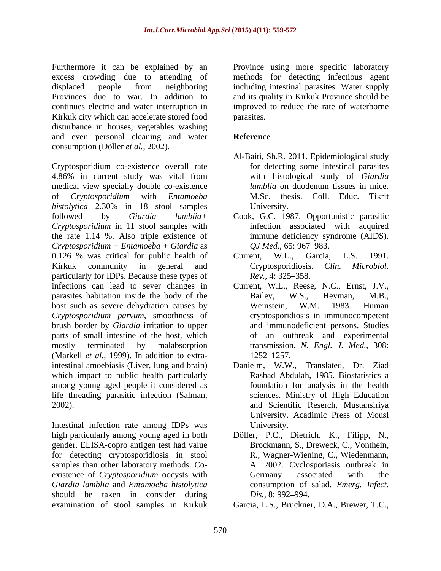Furthermore it can be explained by an Province using more specific laboratory excess crowding due to attending of methods for detecting infectious agent displaced people from neighboring including intestinal parasites. Water supply Provinces due to war. In addition to and its quality in Kirkuk Province should be continues electric and water interruption in improved to reduce the rate of waterborne Kirkuk city which can accelerate stored food parasites. disturbance in houses, vegetables washing and even personal cleaning and water consumption (Döller *et al.,* 2002)*.*

Cryptosporidium co-existence overall rate 4.86% in current study was vital from with histological study of *Giardia* medical view specially double co-existence *lamblia* on duodenum tissues in mice. of *Cryptosporidium* with *Entamoeba histolytica* 2.30% in 18 stool samples University. followed by *Giardia lamblia+* Cook, G.C. 1987. Opportunistic parasitic *Cryptosporidium* in 11 stool samples with the rate 1.14 %. Also triple existence of *Cryptosporidium + Entamoeba + Giardia* as 0.126 % was critical for public health of Current, W.L., Garcia, L.S. 1991. Kirkuk community in general and Cryptosporidiosis. Clin. Microbiol. particularly for IDPs. Because these types of  $\frac{1}{2}$  Rev., 4: 325–358. infections can lead to sever changes in parasites habitation inside the body of the Bailey, W.S., Heyman, M.B., host such as severe dehydration causes by Weinstein, W.M. 1983. Human *Cryptosporidium parvum*, smoothness of brush border by *Giardia* irritation to upper parts of small intestine of the host, which mostly terminated by malabsorption transmission. *N. Engl. J. Med.,* 308: (Markell *et al.,* 1999). In addition to extraintestinal amoebiasis (Liver, lung and brain) Danielm, W.W., Translated, Dr. Ziad which impact to public health particularly among young aged people it considered as<br>life threading parasitic infection (Salman,

high particularly among young aged in both Döller, P.C., Dietrich, K., Filipp, N., gender. ELISA-copro antigen test had value for detecting cryptosporidiosis in stool samples than other laboratory methods. Co existence of *Cryptosporidium* oocysts with Germany associated with the *Giardia lamblia* and *Entamoeba histolytica* should be taken in consider during *Dis.*, 8:992–994.

parasites.

## **Reference**

- Al-Baiti, Sh.R. 2011. Epidemiological study for detecting some intestinal parasites with histological study of *Giardia lamblia* on duodenum tissues in mice. M.Sc. thesis. Coll. Educ. Tikrit University.
- infection associated with acquired immune deficiency syndrome (AIDS). *QJ Med.,* 65: 967–983.
- Current, W.L., Garcia, L.S. 1991. Cryptosporidiosis. *Clin. Microbiol. Rev.,* 4: 325–358.
- Current, W.L., Reese, N.C., Ernst, J.V., Bailey, W.S., Heyman, M.B., Weinstein, W.M. 1983. Human cryptosporidiosis in immunocompetent and immunodeficient persons. Studies of an outbreak and experimental 1252 1257.
- life threading parasitic infection (Salman, 2002). Intestinal infection rate among IDPs was Rashad Abdulah, 1985. Biostatistics a foundation for analysis in the health sciences. Ministry of High Education and Scientific Reserch, Mustansiriya University. Acadimic Press of Mousl University.
	- Brockmann, S., Dreweck, C., Vonthein, R., Wagner-Wiening, C., Wiedenmann, A. 2002. Cyclosporiasis outbreak in Germany associated with the consumption of salad. *Emerg. Infect. Dis., 8: 992–994.*
- examination of stool samples in Kirkuk Garcia, L.S., Bruckner, D.A., Brewer, T.C.,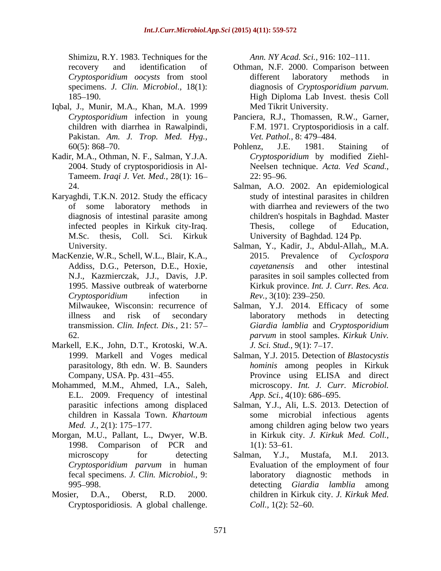Shimizu, R.Y. 1983. Techniques for the *Ann. NY Acad. Sci.*, 916: 102–111.

- Iqbal, J., Munir, M.A., Khan, M.A. 1999 Pakistan. *Am. J. Trop. Med. Hyg.,*
- Kadir, M.A., Othman, N. F., Salman, Y.J.A. Tameem. *Iraqi J. Vet. Med.,* 28(1): 16
- Karyaghdi, T.K.N. 2012. Study the efficacy
- MacKenzie, W.R., Schell, W.L., Blair, K.A., 2015. Prevalence of Cyclospora<br>Addiss, D.G., Peterson, D.E., Hoxie, and other intestinal Sharin, RX: 1983. Techniques for the material challenge. And the space of contents are a global challenge. The space of challenge. The space of the space of the space of the space of the space of the space of the space of
- Markell, E.K., John, D.T., Krotoski, W.A. *J. Sci. Stud.*, 9(1): 7–17.<br>1999. Markell and Voges medical Salman, Y.J. 2015. Detection of *Blastocystis*
- Mohammed, M.M., Ahmed, I.A., Saleh, microscopy. *Int. J. Curr. Microbiol.*<br>E.L. 2009. Frequency of intestinal *App. Sci.*, 4(10): 686–695.
- Morgan, M.U., Pallant, L., Dwyer, W.B. 1998. Comparison of PCR and  $1(1)$ : 53–61. *Cryptosporidium parvum* in human
- 

- recovery and identification of Othman, N.F. 2000. Comparison between *Cryptosporidium oocysts* from stool specimens. *J. Clin. Microbiol.,* 18(1): diagnosis of *Cryptosporidium parvum.* 185 190. High Diploma Lab Invest. thesis Coll different laboratory methods in Med Tikrit University.
- *Cryptosporidium* infection in young Panciera, R.J., Thomassen, R.W., Garner, children with diarrhea in Rawalpindi, F.M. 1971. Cryptosporidiosis in a calf. *Vet. Pathol., 8: 479–484.*
- 60(5): 868–70. **Pohlenz**, J.E. 1981. Staining of 2004. Study of cryptosporidiosis in Al- Neelsen technique. *Acta. Ved Scand.,* Pohlenz, J.E. 1981. Staining of *Cryptosporidium* by modified Ziehl-  $22: 95 - 96.$
- 24. Salman, A.O. 2002. An epidemiological of some laboratory methods in with diarrhea and reviewers of the two diagnosis of intestinal parasite among children's hospitals in Baghdad. Master infected peoples in Kirkuk city-Iraq. M.Sc. thesis, Coll. Sci. Kirkuk University of Baghdad. 124 Pp. study of intestinal parasites in children Thesis, college of Education,
- University. Salman, Y., Kadir, J., Abdul-Allah,, M.A. N.J., Kazmierczak, J.J., Davis, J.P. parasites in soil samples collected from 1995. Massive outbreak of waterborne Kirkuk province. *Int. J. Curr. Res. Aca. Cryptosporidium* infection in 2015. Prevalence of *Cyclospora cayetanensis* and other intestinal *Rev.,* 3(10): 239–250.
- Milwaukee, Wisconsin: recurrence of Salman, Y.J. 2014. Efficacy of some illness and risk of secondary transmission. *Clin. Infect. Dis.,* 21: 57 *Giardia lamblia* and *Cryptosporidium*  62. *parvum* in stool samples. *Kirkuk Univ.* laboratory methods in detecting *J. Sci. Stud.,* 9(1): 7–17.
- parasitology, 8th edn. W. B. Saunders *hominis* among peoples in Kirkuk Company, USA. Pp. 431–455. Province using ELISA and direct Salman, Y.J. 2015. Detection of *Blastocystis* microscopy. *Int. J. Curr. Microbiol. App. Sci.,* 4(10): 686–695.
- parasitic infections among displaced Salman, Y.J., Ali, L.S. 2013. Detection of children in Kassala Town. *Khartoum Med. J.*, 2(1): 175–177. **among children aging below two years** some microbial infectious agents in Kirkuk city. *J. Kirkuk Med. Coll.,*  $1(1)$ : 53–61.
- microscopy for detecting Salman, Y.J., Mustafa, M.I. 2013. fecal specimens. *J. Clin. Microbiol.,* 9: 995 998. detecting *Giardia lamblia* among Mosier, D.A., Oberst, R.D. 2000. children in Kirkuk city. *J. Kirkuk Med.* Salman, Y.J., Mustafa, M.I. 2013. Evaluation of the employment of four laboratory diagnostic methods in *Coll.,* 1(2): 52–60.